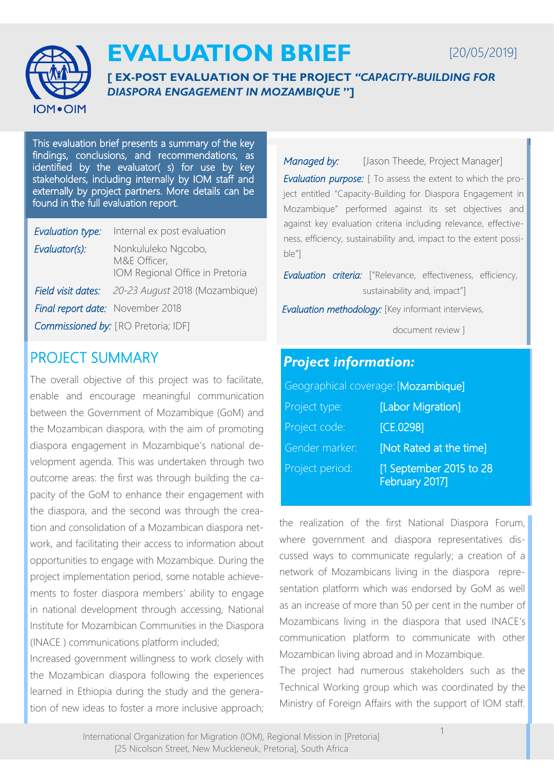

# **EVALUATION BRIEF**

[20/05/2019]

**[ EX-POST EVALUATION OF THE PROJECT** *"CAPACITY-BUILDING FOR DIASPORA ENGAGEMENT IN MOZAMBIQUE* **"]**

This evaluation brief presents a summary of the key findings, conclusions, and recommendations, as identified by the evaluator( s) for use by key stakeholders, including internally by IOM staff and externally by project partners. More details can be found in the full evaluation report.

| Evaluation type:                        | Internal ex post evaluation                                            |
|-----------------------------------------|------------------------------------------------------------------------|
| Evaluator(s):                           | Nonkululeko Ngcobo,<br>M&E Officer,<br>IOM Regional Office in Pretoria |
|                                         | <b>Field visit dates:</b> 20-23 August 2018 (Mozambique)               |
| <b>Final report date:</b> November 2018 |                                                                        |
|                                         | <b>Commissioned by:</b> [RO Pretoria; IDF]                             |

## PROJECT SUMMARY

The overall objective of this project was to facilitate, enable and encourage meaningful communication between the Government of Mozambique (GoM) and the Mozambican diaspora, with the aim of promoting diaspora engagement in Mozambique's national development agenda. This was undertaken through two outcome areas: the first was through building the capacity of the GoM to enhance their engagement with the diaspora, and the second was through the creation and consolidation of a Mozambican diaspora network, and facilitating their access to information about opportunities to engage with Mozambique. During the project implementation period, some notable achievements to foster diaspora members' ability to engage in national development through accessing, National Institute for Mozambican Communities in the Diaspora (INACE ) communications platform included;

Increased government willingness to work closely with the Mozambican diaspora following the experiences learned in Ethiopia during the study and the generation of new ideas to foster a more inclusive approach; *Managed by:* [Jason Theede, Project Manager] *Evaluation purpose:* [ To assess the extent to which the project entitled "Capacity-Building for Diaspora Engagement in Mozambique" performed against its set objectives and against key evaluation criteria including relevance, effectiveness, efficiency, sustainability and, impact to the extent possible"]

*Evaluation criteria:* ["Relevance, effectiveness, efficiency, sustainability and, impact"]

 *Evaluation methodology:* [Key informant interviews,

document review ]

### *Project information:*

Geographical coverage: [Mozambique] Project type: [Labor Migration] Project code: [CE.0298] Gender marker: **[Not Rated at the time]** Project period: [1 September 2015 to 28] February 2017]

the realization of the first National Diaspora Forum, where government and diaspora representatives discussed ways to communicate regularly; a creation of a network of Mozambicans living in the diaspora representation platform which was endorsed by GoM as well as an increase of more than 50 per cent in the number of Mozambicans living in the diaspora that used INACE's communication platform to communicate with other Mozambican living abroad and in Mozambique.

The project had numerous stakeholders such as the Technical Working group which was coordinated by the Ministry of Foreign Affairs with the support of IOM staff.